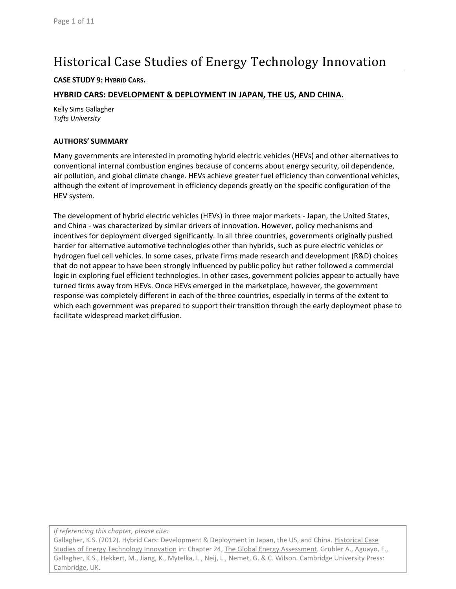# Historical Case Studies of Energy Technology Innovation

#### **CASE STUDY 9: HYBRID CARS.**

### **HYBRID CARS: DEVELOPMENT & DEPLOYMENT IN JAPAN, THE US, AND CHINA.**

Kelly Sims Gallagher *Tufts University*

#### **AUTHORS' SUMMARY**

Many governments are interested in promoting hybrid electric vehicles (HEVs) and other alternatives to conventional internal combustion engines because of concerns about energy security, oil dependence, air pollution, and global climate change. HEVs achieve greater fuel efficiency than conventional vehicles, although the extent of improvement in efficiency depends greatly on the specific configuration of the HEV system.

The development of hybrid electric vehicles (HEVs) in three major markets ‐ Japan, the United States, and China ‐ was characterized by similar drivers of innovation. However, policy mechanisms and incentives for deployment diverged significantly. In all three countries, governments originally pushed harder for alternative automotive technologies other than hybrids, such as pure electric vehicles or hydrogen fuel cell vehicles. In some cases, private firms made research and development (R&D) choices that do not appear to have been strongly influenced by public policy but rather followed a commercial logic in exploring fuel efficient technologies. In other cases, government policies appear to actually have turned firms away from HEVs. Once HEVs emerged in the marketplace, however, the government response was completely different in each of the three countries, especially in terms of the extent to which each government was prepared to support their transition through the early deployment phase to facilitate widespread market diffusion.

*If referencing this chapter, please cite:*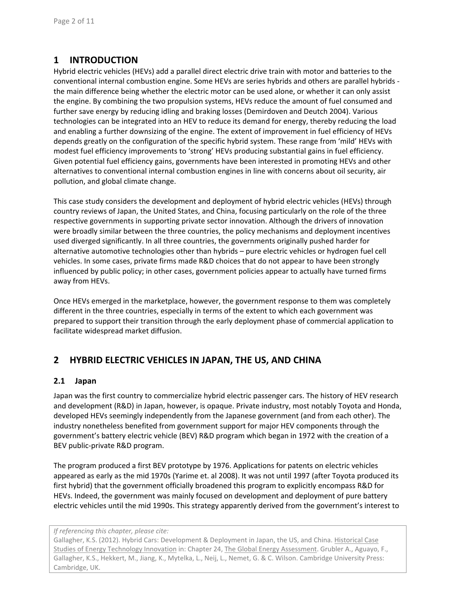# **1 INTRODUCTION**

Hybrid electric vehicles (HEVs) add a parallel direct electric drive train with motor and batteries to the conventional internal combustion engine. Some HEVs are series hybrids and others are parallel hybrids ‐ the main difference being whether the electric motor can be used alone, or whether it can only assist the engine. By combining the two propulsion systems, HEVs reduce the amount of fuel consumed and further save energy by reducing idling and braking losses (Demirdoven and Deutch 2004). Various technologies can be integrated into an HEV to reduce its demand for energy, thereby reducing the load and enabling a further downsizing of the engine. The extent of improvement in fuel efficiency of HEVs depends greatly on the configuration of the specific hybrid system. These range from 'mild' HEVs with modest fuel efficiency improvements to 'strong' HEVs producing substantial gains in fuel efficiency. Given potential fuel efficiency gains, governments have been interested in promoting HEVs and other alternatives to conventional internal combustion engines in line with concerns about oil security, air pollution, and global climate change.

This case study considers the development and deployment of hybrid electric vehicles (HEVs) through country reviews of Japan, the United States, and China, focusing particularly on the role of the three respective governments in supporting private sector innovation. Although the drivers of innovation were broadly similar between the three countries, the policy mechanisms and deployment incentives used diverged significantly. In all three countries, the governments originally pushed harder for alternative automotive technologies other than hybrids – pure electric vehicles or hydrogen fuel cell vehicles. In some cases, private firms made R&D choices that do not appear to have been strongly influenced by public policy; in other cases, government policies appear to actually have turned firms away from HEVs.

Once HEVs emerged in the marketplace, however, the government response to them was completely different in the three countries, especially in terms of the extent to which each government was prepared to support their transition through the early deployment phase of commercial application to facilitate widespread market diffusion.

# **2 HYBRID ELECTRIC VEHICLES IN JAPAN, THE US, AND CHINA**

### **2.1 Japan**

Japan was the first country to commercialize hybrid electric passenger cars. The history of HEV research and development (R&D) in Japan, however, is opaque. Private industry, most notably Toyota and Honda, developed HEVs seemingly independently from the Japanese government (and from each other). The industry nonetheless benefited from government support for major HEV components through the government's battery electric vehicle (BEV) R&D program which began in 1972 with the creation of a BEV public‐private R&D program.

The program produced a first BEV prototype by 1976. Applications for patents on electric vehicles appeared as early as the mid 1970s (Yarime et. al 2008). It was not until 1997 (after Toyota produced its first hybrid) that the government officially broadened this program to explicitly encompass R&D for HEVs. Indeed, the government was mainly focused on development and deployment of pure battery electric vehicles until the mid 1990s. This strategy apparently derived from the government's interest to

*If referencing this chapter, please cite:*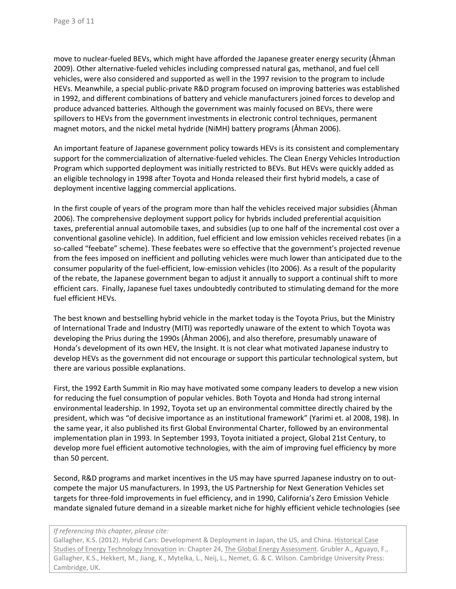move to nuclear‐fueled BEVs, which might have afforded the Japanese greater energy security (Åhman 2009). Other alternative‐fueled vehicles including compressed natural gas, methanol, and fuel cell vehicles, were also considered and supported as well in the 1997 revision to the program to include HEVs. Meanwhile, a special public‐private R&D program focused on improving batteries was established in 1992, and different combinations of battery and vehicle manufacturers joined forces to develop and produce advanced batteries. Although the government was mainly focused on BEVs, there were spillovers to HEVs from the government investments in electronic control techniques, permanent magnet motors, and the nickel metal hydride (NiMH) battery programs (Åhman 2006).

An important feature of Japanese government policy towards HEVs is its consistent and complementary support for the commercialization of alternative-fueled vehicles. The Clean Energy Vehicles Introduction Program which supported deployment was initially restricted to BEVs. But HEVs were quickly added as an eligible technology in 1998 after Toyota and Honda released their first hybrid models, a case of deployment incentive lagging commercial applications.

In the first couple of years of the program more than half the vehicles received major subsidies (Åhman 2006). The comprehensive deployment support policy for hybrids included preferential acquisition taxes, preferential annual automobile taxes, and subsidies (up to one half of the incremental cost over a conventional gasoline vehicle). In addition, fuel efficient and low emission vehicles received rebates (in a so-called "feebate" scheme). These feebates were so effective that the government's projected revenue from the fees imposed on inefficient and polluting vehicles were much lower than anticipated due to the consumer popularity of the fuel‐efficient, low‐emission vehicles (Ito 2006). As a result of the popularity of the rebate, the Japanese government began to adjust it annually to support a continual shift to more efficient cars. Finally, Japanese fuel taxes undoubtedly contributed to stimulating demand for the more fuel efficient HEVs.

The best known and bestselling hybrid vehicle in the market today is the Toyota Prius, but the Ministry of International Trade and Industry (MITI) was reportedly unaware of the extent to which Toyota was developing the Prius during the 1990s (Åhman 2006), and also therefore, presumably unaware of Honda's development of its own HEV, the Insight. It is not clear what motivated Japanese industry to develop HEVs as the government did not encourage or support this particular technological system, but there are various possible explanations.

First, the 1992 Earth Summit in Rio may have motivated some company leaders to develop a new vision for reducing the fuel consumption of popular vehicles. Both Toyota and Honda had strong internal environmental leadership. In 1992, Toyota set up an environmental committee directly chaired by the president, which was "of decisive importance as an institutional framework" (Yarimi et. al 2008, 198). In the same year, it also published its first Global Environmental Charter, followed by an environmental implementation plan in 1993. In September 1993, Toyota initiated a project, Global 21st Century, to develop more fuel efficient automotive technologies, with the aim of improving fuel efficiency by more than 50 percent.

Second, R&D programs and market incentives in the US may have spurred Japanese industry on to out‐ compete the major US manufacturers. In 1993, the US Partnership for Next Generation Vehicles set targets for three‐fold improvements in fuel efficiency, and in 1990, California's Zero Emission Vehicle mandate signaled future demand in a sizeable market niche for highly efficient vehicle technologies (see

*If referencing this chapter, please cite:*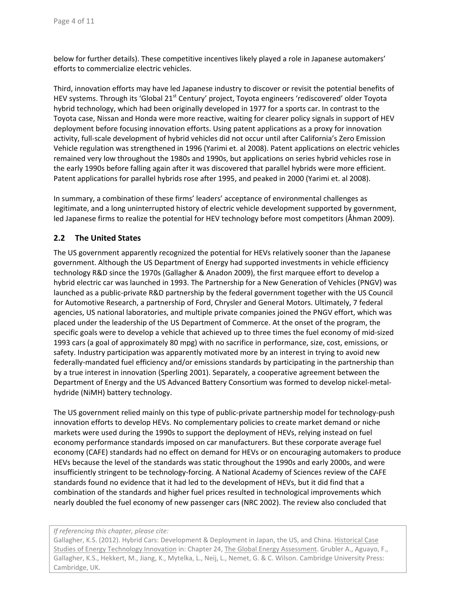below for further details). These competitive incentives likely played a role in Japanese automakers' efforts to commercialize electric vehicles.

Third, innovation efforts may have led Japanese industry to discover or revisit the potential benefits of HEV systems. Through its 'Global 21<sup>st</sup> Century' project, Toyota engineers 'rediscovered' older Toyota hybrid technology, which had been originally developed in 1977 for a sports car. In contrast to the Toyota case, Nissan and Honda were more reactive, waiting for clearer policy signals in support of HEV deployment before focusing innovation efforts. Using patent applications as a proxy for innovation activity, full-scale development of hybrid vehicles did not occur until after California's Zero Emission Vehicle regulation was strengthened in 1996 (Yarimi et. al 2008). Patent applications on electric vehicles remained very low throughout the 1980s and 1990s, but applications on series hybrid vehicles rose in the early 1990s before falling again after it was discovered that parallel hybrids were more efficient. Patent applications for parallel hybrids rose after 1995, and peaked in 2000 (Yarimi et. al 2008).

In summary, a combination of these firms' leaders' acceptance of environmental challenges as legitimate, and a long uninterrupted history of electric vehicle development supported by government, led Japanese firms to realize the potential for HEV technology before most competitors (Åhman 2009).

### **2.2 The United States**

The US government apparently recognized the potential for HEVs relatively sooner than the Japanese government. Although the US Department of Energy had supported investments in vehicle efficiency technology R&D since the 1970s (Gallagher & Anadon 2009), the first marquee effort to develop a hybrid electric car was launched in 1993. The Partnership for a New Generation of Vehicles (PNGV) was launched as a public‐private R&D partnership by the federal government together with the US Council for Automotive Research, a partnership of Ford, Chrysler and General Motors. Ultimately, 7 federal agencies, US national laboratories, and multiple private companies joined the PNGV effort, which was placed under the leadership of the US Department of Commerce. At the onset of the program, the specific goals were to develop a vehicle that achieved up to three times the fuel economy of mid‐sized 1993 cars (a goal of approximately 80 mpg) with no sacrifice in performance, size, cost, emissions, or safety. Industry participation was apparently motivated more by an interest in trying to avoid new federally‐mandated fuel efficiency and/or emissions standards by participating in the partnership than by a true interest in innovation (Sperling 2001). Separately, a cooperative agreement between the Department of Energy and the US Advanced Battery Consortium was formed to develop nickel-metalhydride (NiMH) battery technology.

The US government relied mainly on this type of public‐private partnership model for technology‐push innovation efforts to develop HEVs. No complementary policies to create market demand or niche markets were used during the 1990s to support the deployment of HEVs, relying instead on fuel economy performance standards imposed on car manufacturers. But these corporate average fuel economy (CAFE) standards had no effect on demand for HEVs or on encouraging automakers to produce HEVs because the level of the standards was static throughout the 1990s and early 2000s, and were insufficiently stringent to be technology‐forcing. A National Academy of Sciences review of the CAFE standards found no evidence that it had led to the development of HEVs, but it did find that a combination of the standards and higher fuel prices resulted in technological improvements which nearly doubled the fuel economy of new passenger cars (NRC 2002). The review also concluded that

#### *If referencing this chapter, please cite:*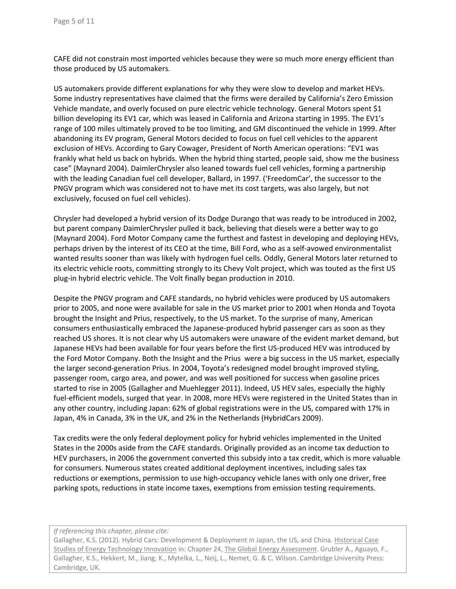CAFE did not constrain most imported vehicles because they were so much more energy efficient than those produced by US automakers.

US automakers provide different explanations for why they were slow to develop and market HEVs. Some industry representatives have claimed that the firms were derailed by California's Zero Emission Vehicle mandate, and overly focused on pure electric vehicle technology. General Motors spent \$1 billion developing its EV1 car, which was leased in California and Arizona starting in 1995. The EV1's range of 100 miles ultimately proved to be too limiting, and GM discontinued the vehicle in 1999. After abandoning its EV program, General Motors decided to focus on fuel cell vehicles to the apparent exclusion of HEVs. According to Gary Cowager, President of North American operations: "EV1 was frankly what held us back on hybrids. When the hybrid thing started, people said, show me the business case" (Maynard 2004). DaimlerChrysler also leaned towards fuel cell vehicles, forming a partnership with the leading Canadian fuel cell developer, Ballard, in 1997. ('FreedomCar', the successor to the PNGV program which was considered not to have met its cost targets, was also largely, but not exclusively, focused on fuel cell vehicles).

Chrysler had developed a hybrid version of its Dodge Durango that was ready to be introduced in 2002, but parent company DaimlerChrysler pulled it back, believing that diesels were a better way to go (Maynard 2004). Ford Motor Company came the furthest and fastest in developing and deploying HEVs, perhaps driven by the interest of its CEO at the time, Bill Ford, who as a self‐avowed environmentalist wanted results sooner than was likely with hydrogen fuel cells. Oddly, General Motors later returned to its electric vehicle roots, committing strongly to its Chevy Volt project, which was touted as the first US plug‐in hybrid electric vehicle. The Volt finally began production in 2010.

Despite the PNGV program and CAFE standards, no hybrid vehicles were produced by US automakers prior to 2005, and none were available for sale in the US market prior to 2001 when Honda and Toyota brought the Insight and Prius, respectively, to the US market. To the surprise of many, American consumers enthusiastically embraced the Japanese‐produced hybrid passenger cars as soon as they reached US shores. It is not clear why US automakers were unaware of the evident market demand, but Japanese HEVs had been available for four years before the first US‐produced HEV was introduced by the Ford Motor Company. Both the Insight and the Prius were a big success in the US market, especially the larger second‐generation Prius. In 2004, Toyota's redesigned model brought improved styling, passenger room, cargo area, and power, and was well positioned for success when gasoline prices started to rise in 2005 (Gallagher and Muehlegger 2011). Indeed, US HEV sales, especially the highly fuel‐efficient models, surged that year. In 2008, more HEVs were registered in the United States than in any other country, including Japan: 62% of global registrations were in the US, compared with 17% in Japan, 4% in Canada, 3% in the UK, and 2% in the Netherlands (HybridCars 2009).

Tax credits were the only federal deployment policy for hybrid vehicles implemented in the United States in the 2000s aside from the CAFE standards. Originally provided as an income tax deduction to HEV purchasers, in 2006 the government converted this subsidy into a tax credit, which is more valuable for consumers. Numerous states created additional deployment incentives, including sales tax reductions or exemptions, permission to use high‐occupancy vehicle lanes with only one driver, free parking spots, reductions in state income taxes, exemptions from emission testing requirements.

#### *If referencing this chapter, please cite:*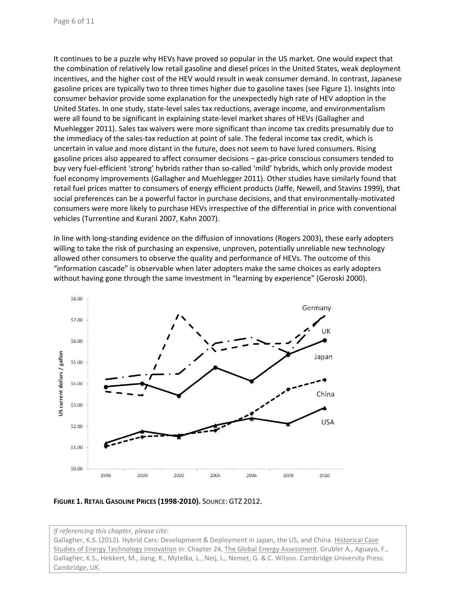It continues to be a puzzle why HEVs have proved so popular in the US market. One would expect that the combination of relatively low retail gasoline and diesel prices in the United States, weak deployment incentives, and the higher cost of the HEV would result in weak consumer demand. In contrast, Japanese gasoline prices are typically two to three times higher due to gasoline taxes (see Figure 1). Insights into consumer behavior provide some explanation for the unexpectedly high rate of HEV adoption in the United States. In one study, state‐level sales tax reductions, average income, and environmentalism were all found to be significant in explaining state-level market shares of HEVs (Gallagher and Muehlegger 2011). Sales tax waivers were more significant than income tax credits presumably due to the immediacy of the sales-tax reduction at point of sale. The federal income tax credit, which is uncertain in value and more distant in the future, does not seem to have lured consumers. Rising gasoline prices also appeared to affect consumer decisions – gas‐price conscious consumers tended to buy very fuel‐efficient 'strong' hybrids rather than so‐called 'mild' hybrids, which only provide modest fuel economy improvements (Gallagher and Muehlegger 2011). Other studies have similarly found that retail fuel prices matter to consumers of energy efficient products (Jaffe, Newell, and Stavins 1999), that social preferences can be a powerful factor in purchase decisions, and that environmentally-motivated consumers were more likely to purchase HEVs irrespective of the differential in price with conventional vehicles (Turrentine and Kurani 2007, Kahn 2007).

In line with long‐standing evidence on the diffusion of innovations (Rogers 2003), these early adopters willing to take the risk of purchasing an expensive, unproven, potentially unreliable new technology allowed other consumers to observe the quality and performance of HEVs. The outcome of this "information cascade" is observable when later adopters make the same choices as early adopters without having gone through the same investment in "learning by experience" (Geroski 2000).



#### **FIGURE 1. RETAIL GASOLINE PRICES (1998‐2010).** SOURCE: GTZ 2012.

*If referencing this chapter, please cite:*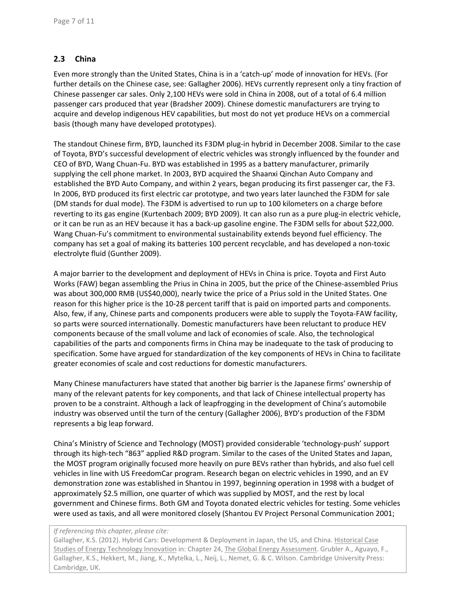### **2.3 China**

Even more strongly than the United States, China is in a 'catch-up' mode of innovation for HEVs. (For further details on the Chinese case, see: Gallagher 2006). HEVs currently represent only a tiny fraction of Chinese passenger car sales. Only 2,100 HEVs were sold in China in 2008, out of a total of 6.4 million passenger cars produced that year (Bradsher 2009). Chinese domestic manufacturers are trying to acquire and develop indigenous HEV capabilities, but most do not yet produce HEVs on a commercial basis (though many have developed prototypes).

The standout Chinese firm, BYD, launched its F3DM plug‐in hybrid in December 2008. Similar to the case of Toyota, BYD's successful development of electric vehicles was strongly influenced by the founder and CEO of BYD, Wang Chuan‐Fu. BYD was established in 1995 as a battery manufacturer, primarily supplying the cell phone market. In 2003, BYD acquired the Shaanxi Qinchan Auto Company and established the BYD Auto Company, and within 2 years, began producing its first passenger car, the F3. In 2006, BYD produced its first electric car prototype, and two years later launched the F3DM for sale (DM stands for dual mode). The F3DM is advertised to run up to 100 kilometers on a charge before reverting to its gas engine (Kurtenbach 2009; BYD 2009). It can also run as a pure plug‐in electric vehicle, or it can be run as an HEV because it has a back‐up gasoline engine. The F3DM sells for about \$22,000. Wang Chuan-Fu's commitment to environmental sustainability extends beyond fuel efficiency. The company has set a goal of making its batteries 100 percent recyclable, and has developed a non‐toxic electrolyte fluid (Gunther 2009).

A major barrier to the development and deployment of HEVs in China is price. Toyota and First Auto Works (FAW) began assembling the Prius in China in 2005, but the price of the Chinese-assembled Prius was about 300,000 RMB (US\$40,000), nearly twice the price of a Prius sold in the United States. One reason for this higher price is the 10‐28 percent tariff that is paid on imported parts and components. Also, few, if any, Chinese parts and components producers were able to supply the Toyota‐FAW facility, so parts were sourced internationally. Domestic manufacturers have been reluctant to produce HEV components because of the small volume and lack of economies of scale. Also, the technological capabilities of the parts and components firms in China may be inadequate to the task of producing to specification. Some have argued for standardization of the key components of HEVs in China to facilitate greater economies of scale and cost reductions for domestic manufacturers.

Many Chinese manufacturers have stated that another big barrier is the Japanese firms' ownership of many of the relevant patents for key components, and that lack of Chinese intellectual property has proven to be a constraint. Although a lack of leapfrogging in the development of China's automobile industry was observed until the turn of the century (Gallagher 2006), BYD's production of the F3DM represents a big leap forward.

China's Ministry of Science and Technology (MOST) provided considerable 'technology‐push' support through its high‐tech "863" applied R&D program. Similar to the cases of the United States and Japan, the MOST program originally focused more heavily on pure BEVs rather than hybrids, and also fuel cell vehicles in line with US FreedomCar program. Research began on electric vehicles in 1990, and an EV demonstration zone was established in Shantou in 1997, beginning operation in 1998 with a budget of approximately \$2.5 million, one quarter of which was supplied by MOST, and the rest by local government and Chinese firms. Both GM and Toyota donated electric vehicles for testing. Some vehicles were used as taxis, and all were monitored closely (Shantou EV Project Personal Communication 2001;

#### *If referencing this chapter, please cite:*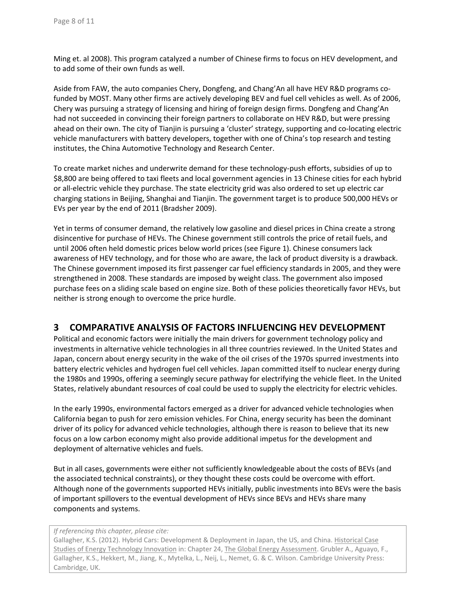Ming et. al 2008). This program catalyzed a number of Chinese firms to focus on HEV development, and to add some of their own funds as well.

Aside from FAW, the auto companies Chery, Dongfeng, and Chang'An all have HEV R&D programs co‐ funded by MOST. Many other firms are actively developing BEV and fuel cell vehicles as well. As of 2006, Chery was pursuing a strategy of licensing and hiring of foreign design firms. Dongfeng and Chang'An had not succeeded in convincing their foreign partners to collaborate on HEV R&D, but were pressing ahead on their own. The city of Tianjin is pursuing a 'cluster' strategy, supporting and co-locating electric vehicle manufacturers with battery developers, together with one of China's top research and testing institutes, the China Automotive Technology and Research Center.

To create market niches and underwrite demand for these technology‐push efforts, subsidies of up to \$8,800 are being offered to taxi fleets and local government agencies in 13 Chinese cities for each hybrid or all‐electric vehicle they purchase. The state electricity grid was also ordered to set up electric car charging stations in Beijing, Shanghai and Tianjin. The government target is to produce 500,000 HEVs or EVs per year by the end of 2011 (Bradsher 2009).

Yet in terms of consumer demand, the relatively low gasoline and diesel prices in China create a strong disincentive for purchase of HEVs. The Chinese government still controls the price of retail fuels, and until 2006 often held domestic prices below world prices (see Figure 1). Chinese consumers lack awareness of HEV technology, and for those who are aware, the lack of product diversity is a drawback. The Chinese government imposed its first passenger car fuel efficiency standards in 2005, and they were strengthened in 2008. These standards are imposed by weight class. The government also imposed purchase fees on a sliding scale based on engine size. Both of these policies theoretically favor HEVs, but neither is strong enough to overcome the price hurdle.

## **3 COMPARATIVE ANALYSIS OF FACTORS INFLUENCING HEV DEVELOPMENT**

Political and economic factors were initially the main drivers for government technology policy and investments in alternative vehicle technologies in all three countries reviewed. In the United States and Japan, concern about energy security in the wake of the oil crises of the 1970s spurred investments into battery electric vehicles and hydrogen fuel cell vehicles. Japan committed itself to nuclear energy during the 1980s and 1990s, offering a seemingly secure pathway for electrifying the vehicle fleet. In the United States, relatively abundant resources of coal could be used to supply the electricity for electric vehicles.

In the early 1990s, environmental factors emerged as a driver for advanced vehicle technologies when California began to push for zero emission vehicles. For China, energy security has been the dominant driver of its policy for advanced vehicle technologies, although there is reason to believe that its new focus on a low carbon economy might also provide additional impetus for the development and deployment of alternative vehicles and fuels.

But in all cases, governments were either not sufficiently knowledgeable about the costs of BEVs (and the associated technical constraints), or they thought these costs could be overcome with effort. Although none of the governments supported HEVs initially, public investments into BEVs were the basis of important spillovers to the eventual development of HEVs since BEVs and HEVs share many components and systems.

*If referencing this chapter, please cite:*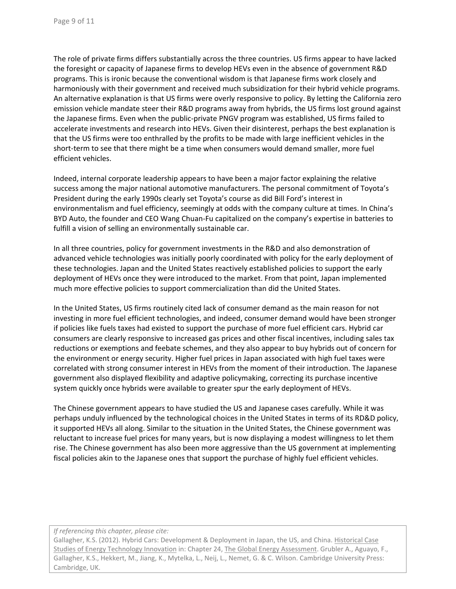The role of private firms differs substantially across the three countries. US firms appear to have lacked the foresight or capacity of Japanese firms to develop HEVs even in the absence of government R&D programs. This is ironic because the conventional wisdom is that Japanese firms work closely and harmoniously with their government and received much subsidization for their hybrid vehicle programs. An alternative explanation is that US firms were overly responsive to policy. By letting the California zero emission vehicle mandate steer their R&D programs away from hybrids, the US firms lost ground against the Japanese firms. Even when the public‐private PNGV program was established, US firms failed to accelerate investments and research into HEVs. Given their disinterest, perhaps the best explanation is that the US firms were too enthralled by the profits to be made with large inefficient vehicles in the short-term to see that there might be a time when consumers would demand smaller, more fuel efficient vehicles.

Indeed, internal corporate leadership appears to have been a major factor explaining the relative success among the major national automotive manufacturers. The personal commitment of Toyota's President during the early 1990s clearly set Toyota's course as did Bill Ford's interest in environmentalism and fuel efficiency, seemingly at odds with the company culture at times. In China's BYD Auto, the founder and CEO Wang Chuan‐Fu capitalized on the company's expertise in batteries to fulfill a vision of selling an environmentally sustainable car.

In all three countries, policy for government investments in the R&D and also demonstration of advanced vehicle technologies was initially poorly coordinated with policy for the early deployment of these technologies. Japan and the United States reactively established policies to support the early deployment of HEVs once they were introduced to the market. From that point, Japan implemented much more effective policies to support commercialization than did the United States.

In the United States, US firms routinely cited lack of consumer demand as the main reason for not investing in more fuel efficient technologies, and indeed, consumer demand would have been stronger if policies like fuels taxes had existed to support the purchase of more fuel efficient cars. Hybrid car consumers are clearly responsive to increased gas prices and other fiscal incentives, including sales tax reductions or exemptions and feebate schemes, and they also appear to buy hybrids out of concern for the environment or energy security. Higher fuel prices in Japan associated with high fuel taxes were correlated with strong consumer interest in HEVs from the moment of their introduction. The Japanese government also displayed flexibility and adaptive policymaking, correcting its purchase incentive system quickly once hybrids were available to greater spur the early deployment of HEVs.

The Chinese government appears to have studied the US and Japanese cases carefully. While it was perhaps unduly influenced by the technological choices in the United States in terms of its RD&D policy, it supported HEVs all along. Similar to the situation in the United States, the Chinese government was reluctant to increase fuel prices for many years, but is now displaying a modest willingness to let them rise. The Chinese government has also been more aggressive than the US government at implementing fiscal policies akin to the Japanese ones that support the purchase of highly fuel efficient vehicles.

*If referencing this chapter, please cite:*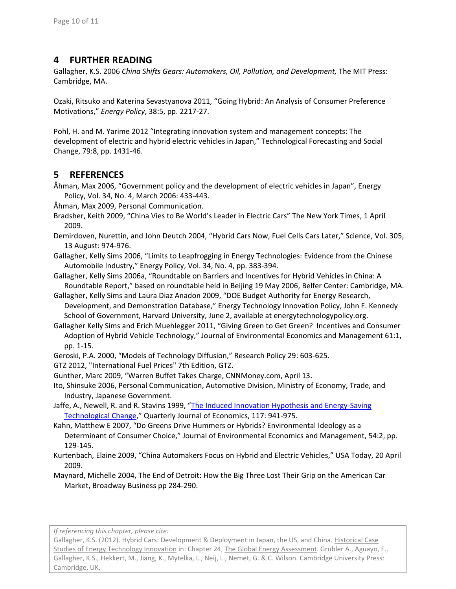### **4 FURTHER READING**

Gallagher, K.S. 2006 *China Shifts Gears: Automakers, Oil, Pollution, and Development,* The MIT Press: Cambridge, MA.

Ozaki, Ritsuko and Katerina Sevastyanova 2011, "Going Hybrid: An Analysis of Consumer Preference Motivations," *Energy Policy*, 38:5, pp. 2217‐27.

Pohl, H. and M. Yarime 2012 "Integrating innovation system and management concepts: The development of electric and hybrid electric vehicles in Japan," Technological Forecasting and Social Change, 79:8, pp. 1431‐46.

## **5 REFERENCES**

Åhman, Max 2006, "Government policy and the development of electric vehicles in Japan", Energy Policy, Vol. 34, No. 4, March 2006: 433‐443.

Åhman, Max 2009, Personal Communication.

Bradsher, Keith 2009, "China Vies to Be World's Leader in Electric Cars" The New York Times, 1 April 2009.

Demirdoven, Nurettin, and John Deutch 2004, "Hybrid Cars Now, Fuel Cells Cars Later," Science, Vol. 305, 13 August: 974‐976.

Gallagher, Kelly Sims 2006, "Limits to Leapfrogging in Energy Technologies: Evidence from the Chinese Automobile Industry," Energy Policy, Vol. 34, No. 4, pp. 383‐394.

Gallagher, Kelly Sims 2006a, "Roundtable on Barriers and Incentives for Hybrid Vehicles in China: A Roundtable Report," based on roundtable held in Beijing 19 May 2006, Belfer Center: Cambridge, MA.

Gallagher, Kelly Sims and Laura Diaz Anadon 2009, "DOE Budget Authority for Energy Research, Development, and Demonstration Database," Energy Technology Innovation Policy, John F. Kennedy School of Government, Harvard University, June 2, available at energytechnologypolicy.org.

Gallagher Kelly Sims and Erich Muehlegger 2011, "Giving Green to Get Green? Incentives and Consumer Adoption of Hybrid Vehicle Technology," Journal of Environmental Economics and Management 61:1, pp. 1‐15.

Geroski, P.A. 2000, "Models of Technology Diffusion," Research Policy 29: 603‐625.

GTZ 2012, "International Fuel Prices" 7th Edition, GTZ.

Gunther, Marc 2009, "Warren Buffet Takes Charge, CNNMoney.com, April 13.

- Ito, Shinsuke 2006, Personal Communication, Automotive Division, Ministry of Economy, Trade, and Industry, Japanese Government.
- Jaffe, A., Newell, R. and R. Stavins 1999, "The Induced Innovation Hypothesis and Energy‐Saving Technological Change," Quarterly Journal of Economics, 117: 941‐975.

Kahn, Matthew E 2007, "Do Greens Drive Hummers or Hybrids? Environmental Ideology as a Determinant of Consumer Choice," Journal of Environmental Economics and Management, 54:2, pp. 129‐145.

Kurtenbach, Elaine 2009, "China Automakers Focus on Hybrid and Electric Vehicles," USA Today, 20 April 2009.

Maynard, Michelle 2004, The End of Detroit: How the Big Three Lost Their Grip on the American Car Market, Broadway Business pp 284‐290.

*If referencing this chapter, please cite:*